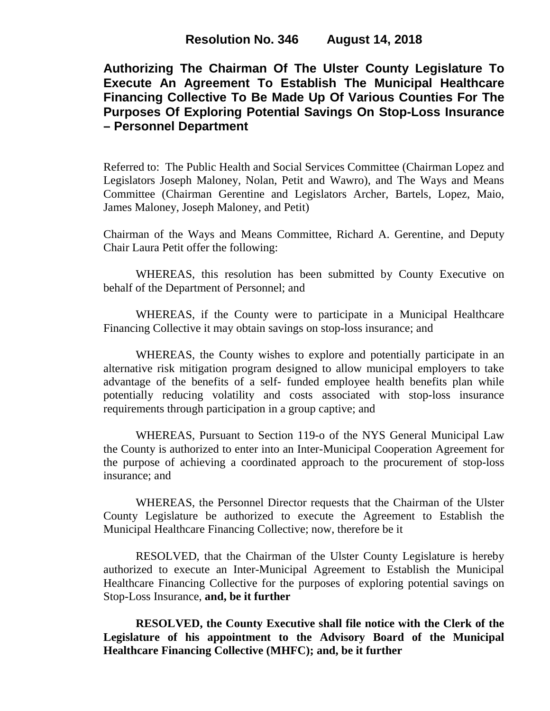**Authorizing The Chairman Of The Ulster County Legislature To Execute An Agreement To Establish The Municipal Healthcare Financing Collective To Be Made Up Of Various Counties For The Purposes Of Exploring Potential Savings On Stop-Loss Insurance – Personnel Department**

Referred to: The Public Health and Social Services Committee (Chairman Lopez and Legislators Joseph Maloney, Nolan, Petit and Wawro), and The Ways and Means Committee (Chairman Gerentine and Legislators Archer, Bartels, Lopez, Maio, James Maloney, Joseph Maloney, and Petit)

Chairman of the Ways and Means Committee, Richard A. Gerentine, and Deputy Chair Laura Petit offer the following:

WHEREAS, this resolution has been submitted by County Executive on behalf of the Department of Personnel; and

WHEREAS, if the County were to participate in a Municipal Healthcare Financing Collective it may obtain savings on stop-loss insurance; and

WHEREAS, the County wishes to explore and potentially participate in an alternative risk mitigation program designed to allow municipal employers to take advantage of the benefits of a self- funded employee health benefits plan while potentially reducing volatility and costs associated with stop-loss insurance requirements through participation in a group captive; and

WHEREAS, Pursuant to Section 119-o of the NYS General Municipal Law the County is authorized to enter into an Inter-Municipal Cooperation Agreement for the purpose of achieving a coordinated approach to the procurement of stop-loss insurance; and

WHEREAS, the Personnel Director requests that the Chairman of the Ulster County Legislature be authorized to execute the Agreement to Establish the Municipal Healthcare Financing Collective; now, therefore be it

RESOLVED, that the Chairman of the Ulster County Legislature is hereby authorized to execute an Inter-Municipal Agreement to Establish the Municipal Healthcare Financing Collective for the purposes of exploring potential savings on Stop-Loss Insurance, **and, be it further**

**RESOLVED, the County Executive shall file notice with the Clerk of the Legislature of his appointment to the Advisory Board of the Municipal Healthcare Financing Collective (MHFC); and, be it further**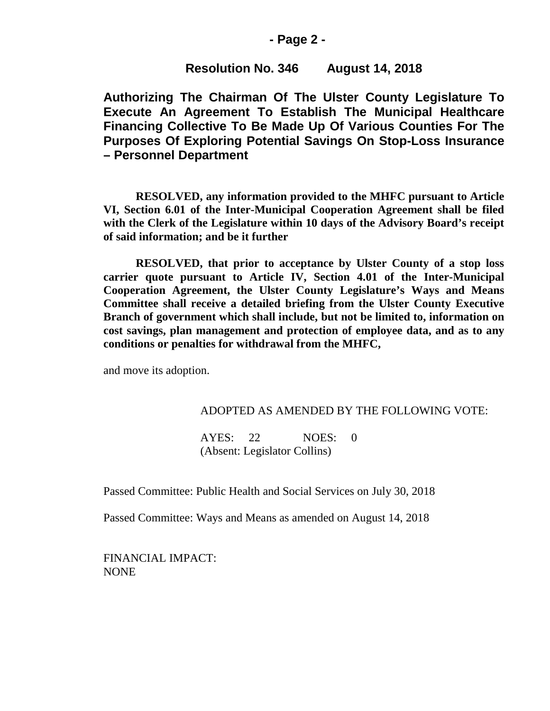## **- Page 2 -**

# **Resolution No. 346 August 14, 2018**

**Authorizing The Chairman Of The Ulster County Legislature To Execute An Agreement To Establish The Municipal Healthcare Financing Collective To Be Made Up Of Various Counties For The Purposes Of Exploring Potential Savings On Stop-Loss Insurance – Personnel Department**

**RESOLVED, any information provided to the MHFC pursuant to Article VI, Section 6.01 of the Inter-Municipal Cooperation Agreement shall be filed with the Clerk of the Legislature within 10 days of the Advisory Board's receipt of said information; and be it further**

**RESOLVED, that prior to acceptance by Ulster County of a stop loss carrier quote pursuant to Article IV, Section 4.01 of the Inter-Municipal Cooperation Agreement, the Ulster County Legislature's Ways and Means Committee shall receive a detailed briefing from the Ulster County Executive Branch of government which shall include, but not be limited to, information on cost savings, plan management and protection of employee data, and as to any conditions or penalties for withdrawal from the MHFC,** 

and move its adoption.

#### ADOPTED AS AMENDED BY THE FOLLOWING VOTE:

AYES: 22 NOES: 0 (Absent: Legislator Collins)

Passed Committee: Public Health and Social Services on July 30, 2018

Passed Committee: Ways and Means as amended on August 14, 2018

FINANCIAL IMPACT: NONE